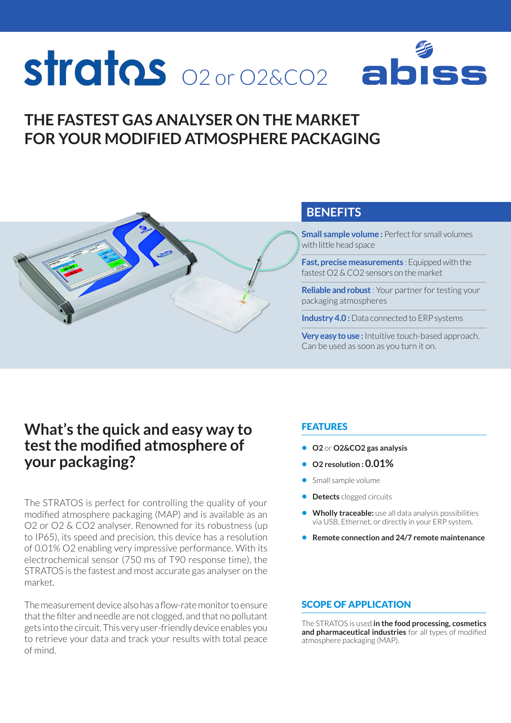# strates <sub>02 or 02&CO2</sub> ał

# **THE FASTEST GAS ANALYSER ON THE MARKET FOR YOUR MODIFIED ATMOSPHERE PACKAGING**



## **BENEFITS**

**Small sample volume :** Perfect for small volumes with little head space

**Fast, precise measurements** : Equipped with the fastest O2 & CO2 sensors on the market

**Reliable and robust** : Your partner for testing your packaging atmospheres

**Industry 4.0:** Data connected to ERP systems

**Very easy to use :** Intuitive touch-based approach. Can be used as soon as you turn it on.

# **What's the quick and easy way to test the modified atmosphere of your packaging?**

The STRATOS is perfect for controlling the quality of your modified atmosphere packaging (MAP) and is available as an O2 or O2 & CO2 analyser. Renowned for its robustness (up to IP65), its speed and precision, this device has a resolution of 0.01% O2 enabling very impressive performance. With its electrochemical sensor (750 ms of T90 response time), the STRATOS is the fastest and most accurate gas analyser on the market.

The measurement device also has a flow-rate monitor to ensure that the filter and needle are not clogged, and that no pollutant gets into the circuit. This very user-friendly device enables you to retrieve your data and track your results with total peace of mind.

#### FEATURES

- **• O2** or **O2&CO2 gas analysis**
- **• O2 resolution : 0.01%**
- **•** Small sample volume
- **• Detects** clogged circuits
- **• Wholly traceable:** use all data analysis possibilities via USB, Ethernet, or directly in your ERP system.
- **• Remote connection and 24/7 remote maintenance**

#### SCOPE OF APPLICATION

The STRATOS is used **in the food processing, cosmetics and pharmaceutical industries** for all types of modified atmosphere packaging (MAP).